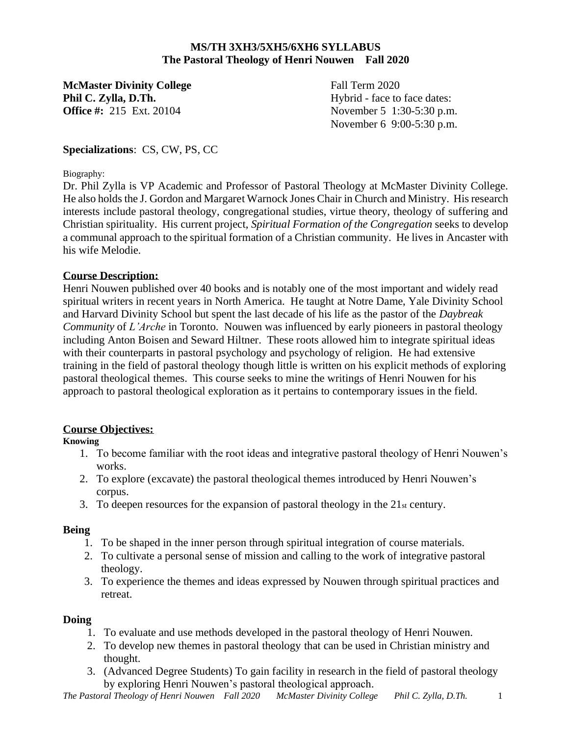### **MS/TH 3XH3/5XH5/6XH6 SYLLABUS The Pastoral Theology of Henri Nouwen Fall 2020**

**McMaster Divinity College** Fall Term 2020 **Phil C. Zylla, D.Th.** Hybrid - face to face dates: **Office #:** 215 Ext. 20104 November 5 1:30-5:30 p.m.

November 6 9:00-5:30 p.m.

## **Specializations**: CS, CW, PS, CC

#### Biography:

Dr. Phil Zylla is VP Academic and Professor of Pastoral Theology at McMaster Divinity College. He also holds the J. Gordon and Margaret Warnock Jones Chair in Church and Ministry. His research interests include pastoral theology, congregational studies, virtue theory, theology of suffering and Christian spirituality. His current project, *Spiritual Formation of the Congregation* seeks to develop a communal approach to the spiritual formation of a Christian community. He lives in Ancaster with his wife Melodie.

### **Course Description:**

Henri Nouwen published over 40 books and is notably one of the most important and widely read spiritual writers in recent years in North America. He taught at Notre Dame, Yale Divinity School and Harvard Divinity School but spent the last decade of his life as the pastor of the *Daybreak Community* of *L'Arche* in Toronto. Nouwen was influenced by early pioneers in pastoral theology including Anton Boisen and Seward Hiltner. These roots allowed him to integrate spiritual ideas with their counterparts in pastoral psychology and psychology of religion. He had extensive training in the field of pastoral theology though little is written on his explicit methods of exploring pastoral theological themes. This course seeks to mine the writings of Henri Nouwen for his approach to pastoral theological exploration as it pertains to contemporary issues in the field.

### **Course Objectives:**

### **Knowing**

- 1. To become familiar with the root ideas and integrative pastoral theology of Henri Nouwen's works.
- 2. To explore (excavate) the pastoral theological themes introduced by Henri Nouwen's corpus.
- 3. To deepen resources for the expansion of pastoral theology in the  $21<sub>st</sub>$  century.

### **Being**

- 1. To be shaped in the inner person through spiritual integration of course materials.
- 2. To cultivate a personal sense of mission and calling to the work of integrative pastoral theology.
- 3. To experience the themes and ideas expressed by Nouwen through spiritual practices and retreat.

### **Doing**

- 1. To evaluate and use methods developed in the pastoral theology of Henri Nouwen.
- 2. To develop new themes in pastoral theology that can be used in Christian ministry and thought.
- 3. (Advanced Degree Students) To gain facility in research in the field of pastoral theology by exploring Henri Nouwen's pastoral theological approach.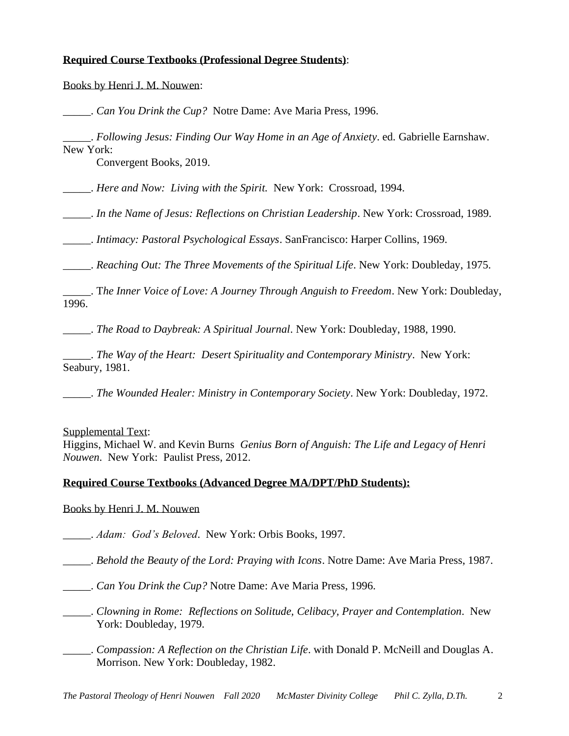### **Required Course Textbooks (Professional Degree Students)**:

Books by Henri J. M. Nouwen:

\_\_\_\_\_. *Can You Drink the Cup?* Notre Dame: Ave Maria Press, 1996.

\_\_\_\_\_. *Following Jesus: Finding Our Way Home in an Age of Anxiety*. ed. Gabrielle Earnshaw. New York:

Convergent Books, 2019.

\_\_\_\_\_. *Here and Now: Living with the Spirit.* New York: Crossroad, 1994.

\_\_\_\_\_. *In the Name of Jesus: Reflections on Christian Leadership*. New York: Crossroad, 1989.

\_\_\_\_\_. *Intimacy: Pastoral Psychological Essays*. SanFrancisco: Harper Collins, 1969.

\_\_\_\_\_. *Reaching Out: The Three Movements of the Spiritual Life*. New York: Doubleday, 1975.

\_\_\_\_\_. T*he Inner Voice of Love: A Journey Through Anguish to Freedom*. New York: Doubleday, 1996.

\_\_\_\_\_. *The Road to Daybreak: A Spiritual Journal*. New York: Doubleday, 1988, 1990.

\_\_\_\_\_. *The Way of the Heart: Desert Spirituality and Contemporary Ministry*. New York: Seabury, 1981.

\_\_\_\_\_. *The Wounded Healer: Ministry in Contemporary Society*. New York: Doubleday, 1972.

Supplemental Text:

Higgins, Michael W. and Kevin Burns *Genius Born of Anguish: The Life and Legacy of Henri Nouwen*. New York: Paulist Press, 2012.

#### **Required Course Textbooks (Advanced Degree MA/DPT/PhD Students):**

Books by Henri J. M. Nouwen

\_\_\_\_\_. *Adam: God's Beloved*. New York: Orbis Books, 1997.

\_\_\_\_\_. *Behold the Beauty of the Lord: Praying with Icons*. Notre Dame: Ave Maria Press, 1987.

\_\_\_\_\_. *Can You Drink the Cup?* Notre Dame: Ave Maria Press, 1996.

\_\_\_\_\_. *Clowning in Rome: Reflections on Solitude, Celibacy, Prayer and Contemplation*. New York: Doubleday, 1979.

\_\_\_\_\_. *Compassion: A Reflection on the Christian Life*. with Donald P. McNeill and Douglas A. Morrison. New York: Doubleday, 1982.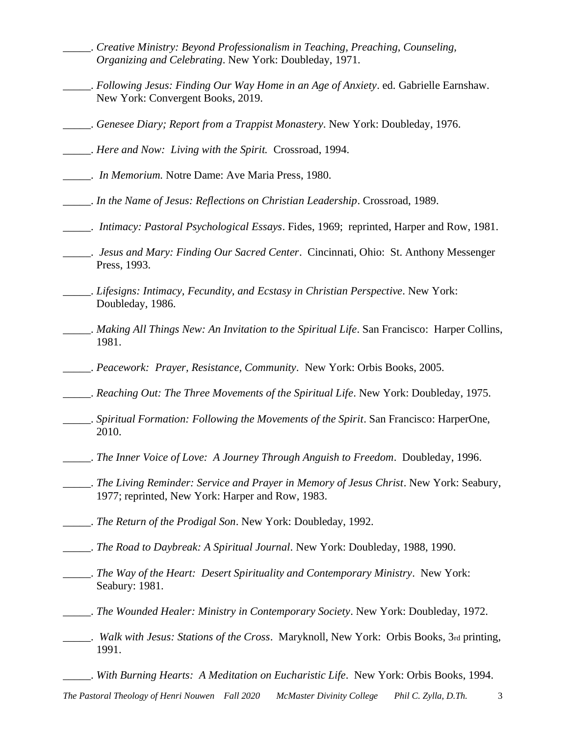- \_\_\_\_\_. *Creative Ministry: Beyond Professionalism in Teaching, Preaching, Counseling, Organizing and Celebrating*. New York: Doubleday, 1971.
- \_\_\_\_\_. *Following Jesus: Finding Our Way Home in an Age of Anxiety*. ed. Gabrielle Earnshaw. New York: Convergent Books, 2019.
- \_\_\_\_\_. *Genesee Diary; Report from a Trappist Monastery*. New York: Doubleday, 1976.
- \_\_\_\_\_. *Here and Now: Living with the Spirit.* Crossroad, 1994.
- \_\_\_\_\_. *In Memorium.* Notre Dame: Ave Maria Press, 1980.
- \_\_\_\_\_. *In the Name of Jesus: Reflections on Christian Leadership*. Crossroad, 1989.
- \_\_\_\_\_. *Intimacy: Pastoral Psychological Essays*. Fides, 1969; reprinted, Harper and Row, 1981.
- \_\_\_\_\_. *Jesus and Mary: Finding Our Sacred Center*. Cincinnati, Ohio: St. Anthony Messenger Press, 1993.
- \_\_\_\_\_. *Lifesigns: Intimacy, Fecundity, and Ecstasy in Christian Perspective*. New York: Doubleday, 1986.
- \_\_\_\_\_. *Making All Things New: An Invitation to the Spiritual Life*. San Francisco: Harper Collins, 1981.
- \_\_\_\_\_. *Peacework: Prayer, Resistance, Community*. New York: Orbis Books, 2005.
- \_\_\_\_\_. *Reaching Out: The Three Movements of the Spiritual Life*. New York: Doubleday, 1975.
- \_\_\_\_\_. *Spiritual Formation: Following the Movements of the Spirit*. San Francisco: HarperOne, 2010.
- \_\_\_\_\_. *The Inner Voice of Love: A Journey Through Anguish to Freedom*. Doubleday, 1996.
- \_\_\_\_\_. *The Living Reminder: Service and Prayer in Memory of Jesus Christ*. New York: Seabury, 1977; reprinted, New York: Harper and Row, 1983.
- \_\_\_\_\_. *The Return of the Prodigal Son*. New York: Doubleday, 1992.
- \_\_\_\_\_. *The Road to Daybreak: A Spiritual Journal*. New York: Doubleday, 1988, 1990.
- \_\_\_\_\_. *The Way of the Heart: Desert Spirituality and Contemporary Ministry*. New York: Seabury: 1981.
- \_\_\_\_\_. *The Wounded Healer: Ministry in Contemporary Society*. New York: Doubleday, 1972.
- \_\_\_\_\_. *Walk with Jesus: Stations of the Cross*. Maryknoll, New York: Orbis Books, 3rd printing, 1991.
	- \_\_\_\_\_. *With Burning Hearts: A Meditation on Eucharistic Life*. New York: Orbis Books, 1994.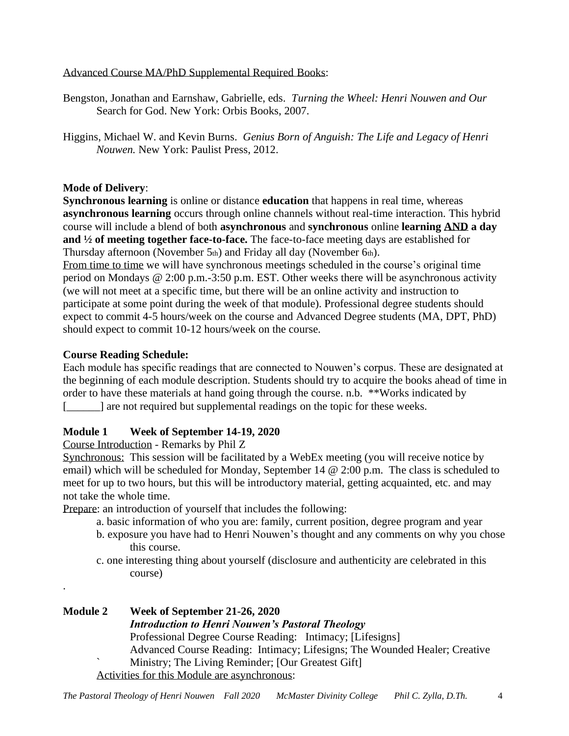Advanced Course MA/PhD Supplemental Required Books:

- Bengston, Jonathan and Earnshaw, Gabrielle, eds. *Turning the Wheel: Henri Nouwen and Our*  Search for God. New York: Orbis Books, 2007.
- Higgins, Michael W. and Kevin Burns. *Genius Born of Anguish: The Life and Legacy of Henri Nouwen.* New York: Paulist Press, 2012.

# **Mode of Delivery**:

**Synchronous learning** is online or distance **education** that happens in real time, whereas **asynchronous learning** occurs through online channels without real-time interaction. This hybrid course will include a blend of both **asynchronous** and **synchronous** online **learning AND a day and ½ of meeting together face-to-face.** The face-to-face meeting days are established for Thursday afternoon (November 5th) and Friday all day (November 6th).

From time to time we will have synchronous meetings scheduled in the course's original time period on Mondays @ 2:00 p.m.-3:50 p.m. EST. Other weeks there will be asynchronous activity (we will not meet at a specific time, but there will be an online activity and instruction to participate at some point during the week of that module). Professional degree students should expect to commit 4-5 hours/week on the course and Advanced Degree students (MA, DPT, PhD) should expect to commit 10-12 hours/week on the course.

# **Course Reading Schedule:**

.

Each module has specific readings that are connected to Nouwen's corpus. These are designated at the beginning of each module description. Students should try to acquire the books ahead of time in order to have these materials at hand going through the course. n.b. \*\*Works indicated by [\_\_\_\_\_\_] are not required but supplemental readings on the topic for these weeks.

# **Module 1 Week of September 14-19, 2020**

Course Introduction - Remarks by Phil Z

Synchronous: This session will be facilitated by a WebEx meeting (you will receive notice by email) which will be scheduled for Monday, September 14 @ 2:00 p.m. The class is scheduled to meet for up to two hours, but this will be introductory material, getting acquainted, etc. and may not take the whole time.

Prepare: an introduction of yourself that includes the following:

- a. basic information of who you are: family, current position, degree program and year
- b. exposure you have had to Henri Nouwen's thought and any comments on why you chose this course.
- c. one interesting thing about yourself (disclosure and authenticity are celebrated in this course)

# **Module 2 Week of September 21-26, 2020** *Introduction to Henri Nouwen's Pastoral Theology* Professional Degree Course Reading: Intimacy; [Lifesigns] Advanced Course Reading: Intimacy; Lifesigns; The Wounded Healer; Creative ` Ministry; The Living Reminder; [Our Greatest Gift] Activities for this Module are asynchronous: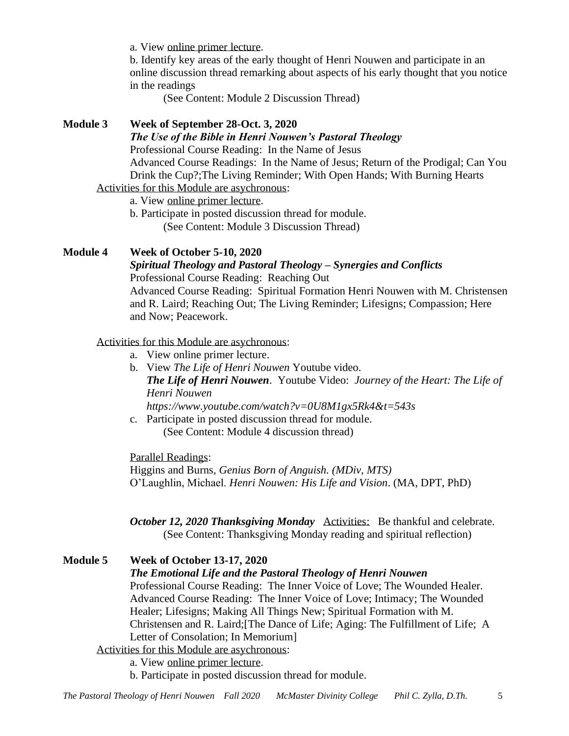a. View online primer lecture.

 b. Identify key areas of the early thought of Henri Nouwen and participate in an online discussion thread remarking about aspects of his early thought that you notice in the readings

(See Content: Module 2 Discussion Thread)

# **Module 3 Week of September 28-Oct. 3, 2020**

*The Use of the Bible in Henri Nouwen's Pastoral Theology*

Professional Course Reading: In the Name of Jesus

Advanced Course Readings: In the Name of Jesus; Return of the Prodigal; Can You Drink the Cup?;The Living Reminder; With Open Hands; With Burning Hearts Activities for this Module are asychronous:

a. View online primer lecture.

 b. Participate in posted discussion thread for module. (See Content: Module 3 Discussion Thread)

## **Module 4 Week of October 5-10, 2020**

# *Spiritual Theology and Pastoral Theology – Synergies and Conflicts* Professional Course Reading: Reaching Out

Advanced Course Reading: Spiritual Formation Henri Nouwen with M. Christensen and R. Laird; Reaching Out; The Living Reminder; Lifesigns; Compassion; Here and Now; Peacework.

Activities for this Module are asychronous:

- a. View online primer lecture.
- b. View *The Life of Henri Nouwen* Youtube video. *The Life of Henri Nouwen*. Youtube Video: *Journey of the Heart: The Life of Henri Nouwen https://www.youtube.com/watch?v=0U8M1gx5Rk4&t=543s*
- c. Participate in posted discussion thread for module. (See Content: Module 4 discussion thread)

Parallel Readings: Higgins and Burns, *Genius Born of Anguish. (MDiv, MTS)* O'Laughlin, Michael. *Henri Nouwen: His Life and Vision*. (MA, DPT, PhD)

*October 12, 2020 Thanksgiving Monday* Activities: Be thankful and celebrate. (See Content: Thanksgiving Monday reading and spiritual reflection)

### **Module 5 Week of October 13-17, 2020** *The Emotional Life and the Pastoral Theology of Henri Nouwen* Professional Course Reading: The Inner Voice of Love; The Wounded Healer. Advanced Course Reading: The Inner Voice of Love; Intimacy; The Wounded Healer; Lifesigns; Making All Things New; Spiritual Formation with M. Christensen and R. Laird;[The Dance of Life; Aging: The Fulfillment of Life; A Letter of Consolation; In Memorium] Activities for this Module are asychronous:

a. View online primer lecture.

b. Participate in posted discussion thread for module.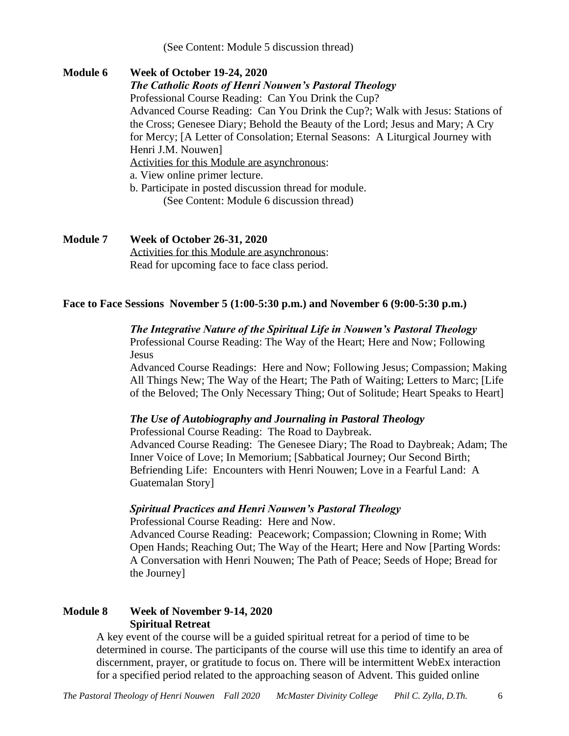(See Content: Module 5 discussion thread)

**Module 6 Week of October 19-24, 2020**  *The Catholic Roots of Henri Nouwen's Pastoral Theology* Professional Course Reading: Can You Drink the Cup? Advanced Course Reading: Can You Drink the Cup?; Walk with Jesus: Stations of the Cross; Genesee Diary; Behold the Beauty of the Lord; Jesus and Mary; A Cry for Mercy; [A Letter of Consolation; Eternal Seasons: A Liturgical Journey with Henri J.M. Nouwen] Activities for this Module are asynchronous: a. View online primer lecture. b. Participate in posted discussion thread for module. (See Content: Module 6 discussion thread)

**Module 7 Week of October 26-31, 2020** Activities for this Module are asynchronous: Read for upcoming face to face class period.

#### **Face to Face Sessions November 5 (1:00-5:30 p.m.) and November 6 (9:00-5:30 p.m.)**

#### *The Integrative Nature of the Spiritual Life in Nouwen's Pastoral Theology*

Professional Course Reading: The Way of the Heart; Here and Now; Following **Jesus** 

Advanced Course Readings: Here and Now; Following Jesus; Compassion; Making All Things New; The Way of the Heart; The Path of Waiting; Letters to Marc; [Life of the Beloved; The Only Necessary Thing; Out of Solitude; Heart Speaks to Heart]

#### *The Use of Autobiography and Journaling in Pastoral Theology*

Professional Course Reading: The Road to Daybreak. Advanced Course Reading: The Genesee Diary; The Road to Daybreak; Adam; The Inner Voice of Love; In Memorium; [Sabbatical Journey; Our Second Birth; Befriending Life: Encounters with Henri Nouwen; Love in a Fearful Land: A Guatemalan Story]

#### *Spiritual Practices and Henri Nouwen's Pastoral Theology*

Professional Course Reading: Here and Now.

Advanced Course Reading: Peacework; Compassion; Clowning in Rome; With Open Hands; Reaching Out; The Way of the Heart; Here and Now [Parting Words: A Conversation with Henri Nouwen; The Path of Peace; Seeds of Hope; Bread for the Journey]

## **Module 8 Week of November 9-14, 2020 Spiritual Retreat**

A key event of the course will be a guided spiritual retreat for a period of time to be determined in course. The participants of the course will use this time to identify an area of discernment, prayer, or gratitude to focus on. There will be intermittent WebEx interaction for a specified period related to the approaching season of Advent. This guided online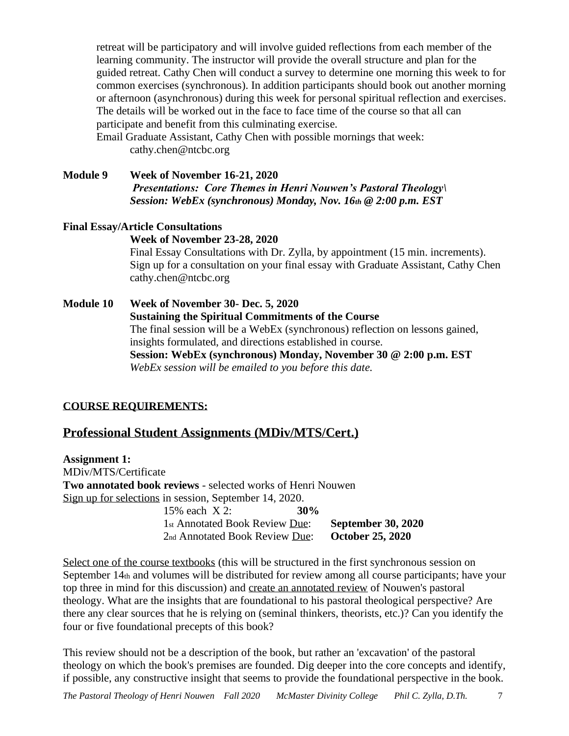retreat will be participatory and will involve guided reflections from each member of the learning community. The instructor will provide the overall structure and plan for the guided retreat. Cathy Chen will conduct a survey to determine one morning this week to for common exercises (synchronous). In addition participants should book out another morning or afternoon (asynchronous) during this week for personal spiritual reflection and exercises. The details will be worked out in the face to face time of the course so that all can participate and benefit from this culminating exercise.

Email Graduate Assistant, Cathy Chen with possible mornings that week: [cathy.chen@ntcbc.org](mailto:cathy.chen@ntcbc.org)

**Module 9 Week of November 16-21, 2020** *Presentations: Core Themes in Henri Nouwen's Pastoral Theology\ Session: WebEx (synchronous) Monday, Nov. 16th @ 2:00 p.m. EST*

# **Final Essay/Article Consultations**

### **Week of November 23-28, 2020**

Final Essay Consultations with Dr. Zylla, by appointment (15 min. increments). Sign up for a consultation on your final essay with Graduate Assistant, Cathy Chen cathy.chen@ntcbc.org

**Module 10 Week of November 30- Dec. 5, 2020 Sustaining the Spiritual Commitments of the Course** The final session will be a WebEx (synchronous) reflection on lessons gained, insights formulated, and directions established in course. **Session: WebEx (synchronous) Monday, November 30 @ 2:00 p.m. EST** *WebEx session will be emailed to you before this date.*

# **COURSE REQUIREMENTS:**

# **Professional Student Assignments (MDiv/MTS/Cert.)**

**Assignment 1:** MDiv/MTS/Certificate **Two annotated book reviews** - selected works of Henri Nouwen Sign up for selections in session, September 14, 2020. 15% each X 2: **30%** 1st Annotated Book Review Due: **September 30, 2020** 2nd Annotated Book Review Due: **October 25, 2020**

Select one of the course textbooks (this will be structured in the first synchronous session on September 14th and volumes will be distributed for review among all course participants; have your top three in mind for this discussion) and create an annotated review of Nouwen's pastoral theology. What are the insights that are foundational to his pastoral theological perspective? Are there any clear sources that he is relying on (seminal thinkers, theorists, etc.)? Can you identify the four or five foundational precepts of this book?

This review should not be a description of the book, but rather an 'excavation' of the pastoral theology on which the book's premises are founded. Dig deeper into the core concepts and identify, if possible, any constructive insight that seems to provide the foundational perspective in the book.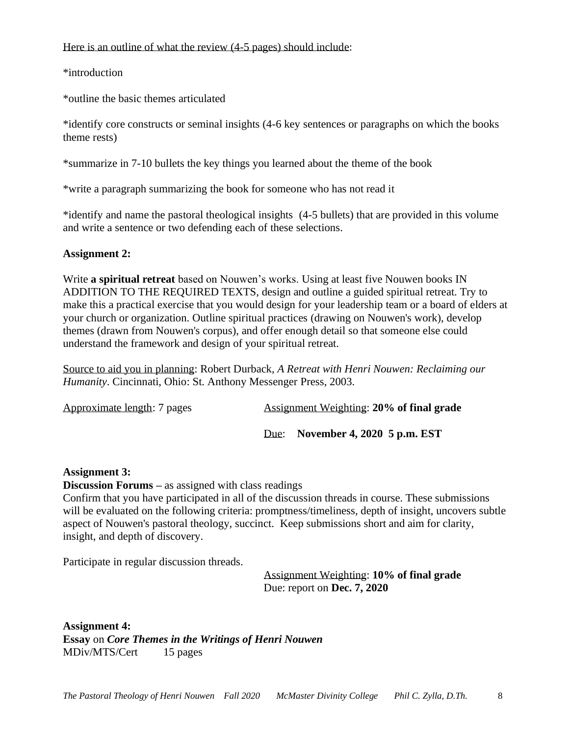#### Here is an outline of what the review (4-5 pages) should include:

\*introduction

\*outline the basic themes articulated

\*identify core constructs or seminal insights (4-6 key sentences or paragraphs on which the books theme rests)

\*summarize in 7-10 bullets the key things you learned about the theme of the book

\*write a paragraph summarizing the book for someone who has not read it

\*identify and name the pastoral theological insights (4-5 bullets) that are provided in this volume and write a sentence or two defending each of these selections.

# **Assignment 2:**

Write **a spiritual retreat** based on Nouwen's works. Using at least five Nouwen books IN ADDITION TO THE REQUIRED TEXTS, design and outline a guided spiritual retreat. Try to make this a practical exercise that you would design for your leadership team or a board of elders at your church or organization. Outline spiritual practices (drawing on Nouwen's work), develop themes (drawn from Nouwen's corpus), and offer enough detail so that someone else could understand the framework and design of your spiritual retreat.

Source to aid you in planning: Robert Durback, *A Retreat with Henri Nouwen: Reclaiming our Humanity*. Cincinnati, Ohio: St. Anthony Messenger Press, 2003.

| Approximate length: 7 pages | <b>Assignment Weighting: 20% of final grade</b> |  |
|-----------------------------|-------------------------------------------------|--|
|-----------------------------|-------------------------------------------------|--|

Due: **November 4, 2020 5 p.m. EST**

# **Assignment 3:**

**Discussion Forums –** as assigned with class readings

Confirm that you have participated in all of the discussion threads in course. These submissions will be evaluated on the following criteria: promptness/timeliness, depth of insight, uncovers subtle aspect of Nouwen's pastoral theology, succinct. Keep submissions short and aim for clarity, insight, and depth of discovery.

Participate in regular discussion threads.

Assignment Weighting: **10% of final grade** Due: report on **Dec. 7, 2020**

**Assignment 4: Essay** on *Core Themes in the Writings of Henri Nouwen* MDiv/MTS/Cert 15 pages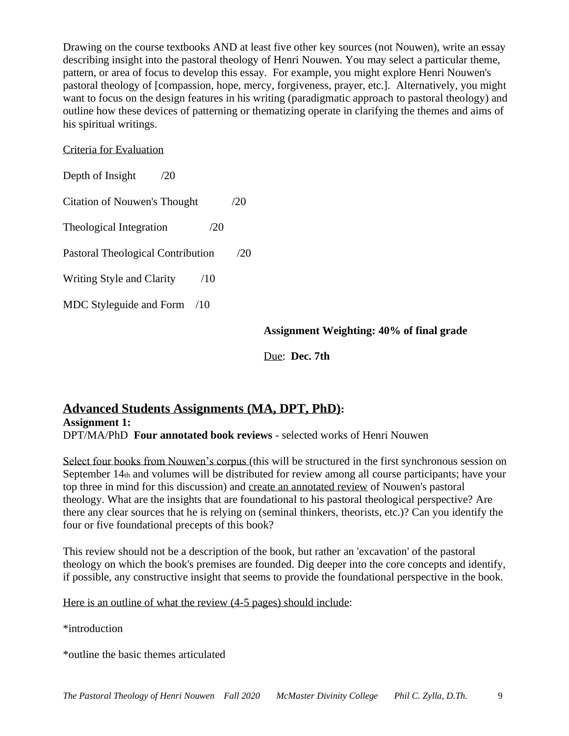Drawing on the course textbooks AND at least five other key sources (not Nouwen), write an essay describing insight into the pastoral theology of Henri Nouwen. You may select a particular theme, pattern, or area of focus to develop this essay. For example, you might explore Henri Nouwen's pastoral theology of [compassion, hope, mercy, forgiveness, prayer, etc.]. Alternatively, you might want to focus on the design features in his writing (paradigmatic approach to pastoral theology) and outline how these devices of patterning or thematizing operate in clarifying the themes and aims of his spiritual writings.

### Criteria for Evaluation

Depth of Insight /20 Citation of Nouwen's Thought /20 Theological Integration  $/20$ Pastoral Theological Contribution /20 Writing Style and Clarity /10 MDC Styleguide and Form /10

**Assignment Weighting: 40% of final grade**

Due: **Dec. 7th**

# **Advanced Students Assignments (MA, DPT, PhD): Assignment 1:** DPT/MA/PhD **Four annotated book reviews** - selected works of Henri Nouwen

Select four books from Nouwen's corpus (this will be structured in the first synchronous session on September  $14<sub>th</sub>$  and volumes will be distributed for review among all course participants; have your top three in mind for this discussion) and create an annotated review of Nouwen's pastoral theology. What are the insights that are foundational to his pastoral theological perspective? Are there any clear sources that he is relying on (seminal thinkers, theorists, etc.)? Can you identify the four or five foundational precepts of this book?

This review should not be a description of the book, but rather an 'excavation' of the pastoral theology on which the book's premises are founded. Dig deeper into the core concepts and identify, if possible, any constructive insight that seems to provide the foundational perspective in the book.

Here is an outline of what the review (4-5 pages) should include:

\*introduction

\*outline the basic themes articulated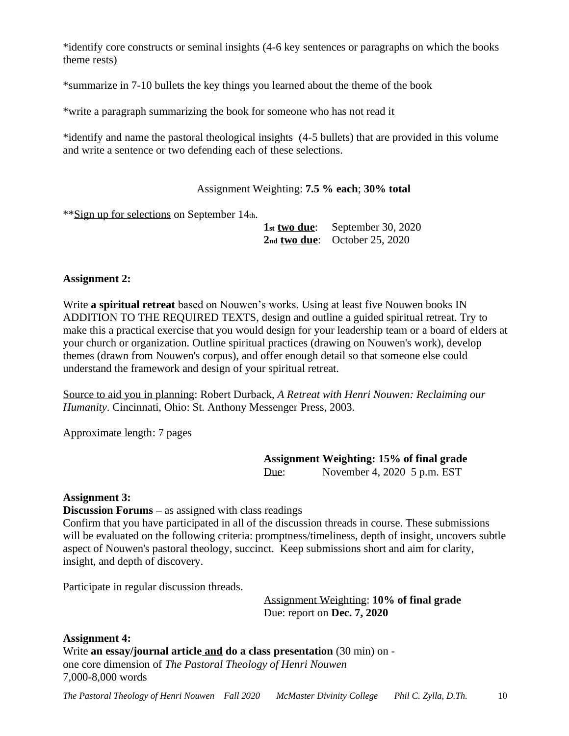\*identify core constructs or seminal insights (4-6 key sentences or paragraphs on which the books theme rests)

\*summarize in 7-10 bullets the key things you learned about the theme of the book

\*write a paragraph summarizing the book for someone who has not read it

\*identify and name the pastoral theological insights (4-5 bullets) that are provided in this volume and write a sentence or two defending each of these selections.

Assignment Weighting: **7.5 % each**; **30% total**

\*\*Sign up for selections on September 14th.

**1st two due**: September 30, 2020 **2nd two due**: October 25, 2020

## **Assignment 2:**

Write **a spiritual retreat** based on Nouwen's works. Using at least five Nouwen books IN ADDITION TO THE REQUIRED TEXTS, design and outline a guided spiritual retreat. Try to make this a practical exercise that you would design for your leadership team or a board of elders at your church or organization. Outline spiritual practices (drawing on Nouwen's work), develop themes (drawn from Nouwen's corpus), and offer enough detail so that someone else could understand the framework and design of your spiritual retreat.

Source to aid you in planning: Robert Durback, *A Retreat with Henri Nouwen: Reclaiming our Humanity*. Cincinnati, Ohio: St. Anthony Messenger Press, 2003.

Approximate length: 7 pages

**Assignment Weighting: 15% of final grade** Due: November 4, 2020 5 p.m. EST

### **Assignment 3:**

**Discussion Forums –** as assigned with class readings

Confirm that you have participated in all of the discussion threads in course. These submissions will be evaluated on the following criteria: promptness/timeliness, depth of insight, uncovers subtle aspect of Nouwen's pastoral theology, succinct. Keep submissions short and aim for clarity, insight, and depth of discovery.

Participate in regular discussion threads.

Assignment Weighting: **10% of final grade** Due: report on **Dec. 7, 2020**

**Assignment 4:**

Write **an essay/journal article and do a class presentation** (30 min) on one core dimension of *The Pastoral Theology of Henri Nouwen* 7,000-8,000 words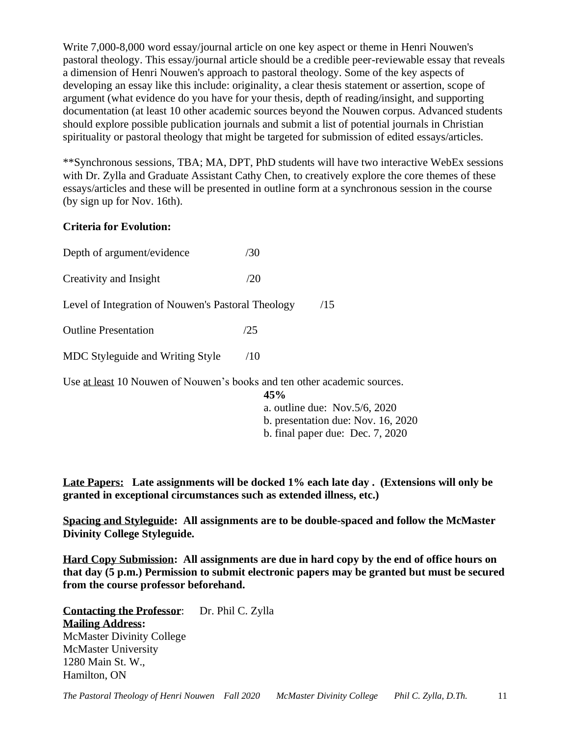Write 7,000-8,000 word essay/journal article on one key aspect or theme in Henri Nouwen's pastoral theology. This essay/journal article should be a credible peer-reviewable essay that reveals a dimension of Henri Nouwen's approach to pastoral theology. Some of the key aspects of developing an essay like this include: originality, a clear thesis statement or assertion, scope of argument (what evidence do you have for your thesis, depth of reading/insight, and supporting documentation (at least 10 other academic sources beyond the Nouwen corpus. Advanced students should explore possible publication journals and submit a list of potential journals in Christian spirituality or pastoral theology that might be targeted for submission of edited essays/articles.

\*\*Synchronous sessions, TBA; MA, DPT, PhD students will have two interactive WebEx sessions with Dr. Zylla and Graduate Assistant Cathy Chen, to creatively explore the core themes of these essays/articles and these will be presented in outline form at a synchronous session in the course (by sign up for Nov. 16th).

# **Criteria for Evolution:**

| Depth of argument/evidence                         | /30 |     |
|----------------------------------------------------|-----|-----|
| Creativity and Insight                             | /20 |     |
| Level of Integration of Nouwen's Pastoral Theology |     | /15 |
| <b>Outline Presentation</b>                        | /25 |     |
| MDC Styleguide and Writing Style                   | /10 |     |

Use at least 10 Nouwen of Nouwen's books and ten other academic sources.

**45%** a. outline due: Nov.5/6, 2020 b. presentation due: Nov. 16, 2020 b. final paper due: Dec. 7, 2020

**Late Papers: Late assignments will be docked 1% each late day . (Extensions will only be granted in exceptional circumstances such as extended illness, etc.)**

**Spacing and Styleguide: All assignments are to be double-spaced and follow the McMaster Divinity College Styleguide.**

**Hard Copy Submission: All assignments are due in hard copy by the end of office hours on that day (5 p.m.) Permission to submit electronic papers may be granted but must be secured from the course professor beforehand.**

**Contacting the Professor:** Dr. Phil C. Zylla **Mailing Address:** McMaster Divinity College McMaster University 1280 Main St. W., Hamilton, ON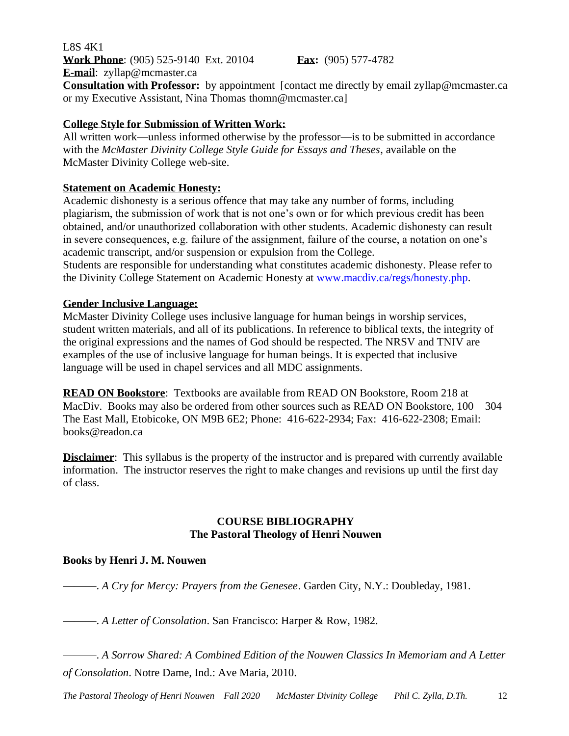L8S 4K1 **Work Phone**: (905) 525-9140 Ext. 20104 **Fax:** (905) 577-4782 **E-mail**: [zyllap@mcmaster.ca](mailto:phil.zylla@twu.ca) **Consultation with Professor:** by appointment [contact me directly by email [zyllap@mcmaster.ca](mailto:zyllap@mcmaster.ca)] or my Executive Assistant, Nina Thomas [thomn@mcmaster.ca\]](mailto:thomn@mcmaster.ca)

## **College Style for Submission of Written Work:**

All written work—unless informed otherwise by the professor—is to be submitted in accordance with the *McMaster Divinity College Style Guide for Essays and Theses*, available on the McMaster Divinity College web-site.

## **Statement on Academic Honesty:**

Academic dishonesty is a serious offence that may take any number of forms, including plagiarism, the submission of work that is not one's own or for which previous credit has been obtained, and/or unauthorized collaboration with other students. Academic dishonesty can result in severe consequences, e.g. failure of the assignment, failure of the course, a notation on one's academic transcript, and/or suspension or expulsion from the College.

Students are responsible for understanding what constitutes academic dishonesty. Please refer to the Divinity College Statement on Academic Honesty at www.macdiv.ca/regs/honesty.php.

### **Gender Inclusive Language:**

McMaster Divinity College uses inclusive language for human beings in worship services, student written materials, and all of its publications. In reference to biblical texts, the integrity of the original expressions and the names of God should be respected. The NRSV and TNIV are examples of the use of inclusive language for human beings. It is expected that inclusive language will be used in chapel services and all MDC assignments.

**READ ON Bookstore**: Textbooks are available from READ ON Bookstore, Room 218 at MacDiv. Books may also be ordered from other sources such as READ ON Bookstore,  $100 - 304$ The East Mall, Etobicoke, ON M9B 6E2; Phone: 416-622-2934; Fax: 416-622-2308; Email: [books@readon.ca](mailto:books@readon.ca)

**Disclaimer**: This syllabus is the property of the instructor and is prepared with currently available information. The instructor reserves the right to make changes and revisions up until the first day of class.

## **COURSE BIBLIOGRAPHY The Pastoral Theology of Henri Nouwen**

# **Books by Henri J. M. Nouwen**

———. *A Cry for Mercy: Prayers from the Genesee*. Garden City, N.Y.: Doubleday, 1981.

———. *A Letter of Consolation*. San Francisco: Harper & Row, 1982.

———. *A Sorrow Shared: A Combined Edition of the Nouwen Classics In Memoriam and A Letter of Consolation*. Notre Dame, Ind.: Ave Maria, 2010.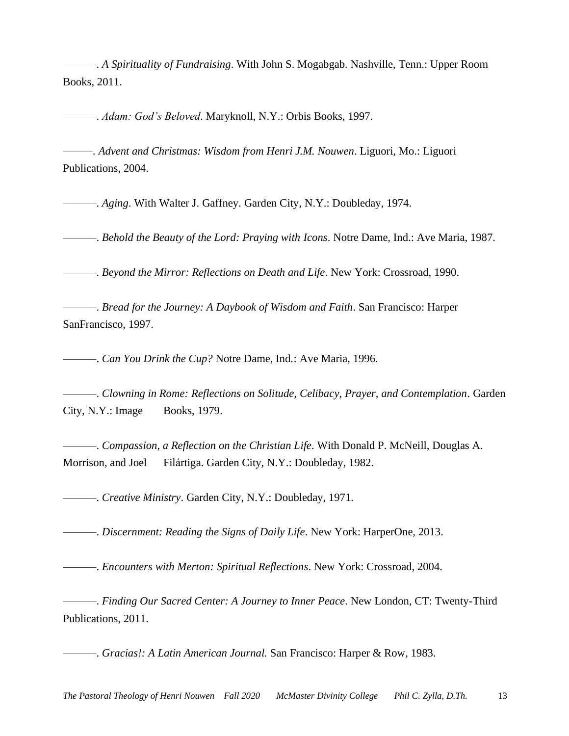———. *A Spirituality of Fundraising*. With John S. Mogabgab. Nashville, Tenn.: Upper Room Books, 2011.

———. *Adam: God's Beloved*. Maryknoll, N.Y.: Orbis Books, 1997.

*———. Advent and Christmas: Wisdom from Henri J.M. Nouwen*. Liguori, Mo.: Liguori Publications, 2004.

———. *Aging*. With Walter J. Gaffney. Garden City, N.Y.: Doubleday, 1974.

———. *Behold the Beauty of the Lord: Praying with Icons*. Notre Dame, Ind.: Ave Maria, 1987.

———. *Beyond the Mirror: Reflections on Death and Life*. New York: Crossroad, 1990.

———. *Bread for the Journey: A Daybook of Wisdom and Faith*. San Francisco: Harper SanFrancisco, 1997.

———. *Can You Drink the Cup?* Notre Dame, Ind.: Ave Maria, 1996.

———. *Clowning in Rome: Reflections on Solitude, Celibacy, Prayer, and Contemplation*. Garden City, N.Y.: Image Books, 1979.

———. *Compassion, a Reflection on the Christian Life*. With Donald P. McNeill, Douglas A. Morrison, and Joel Filártiga. Garden City, N.Y.: Doubleday, 1982.

———. *Creative Ministry*. Garden City, N.Y.: Doubleday, 1971.

———. *Discernment: Reading the Signs of Daily Life*. New York: HarperOne, 2013.

———. *Encounters with Merton: Spiritual Reflections*. New York: Crossroad, 2004.

———. *Finding Our Sacred Center: A Journey to Inner Peace*. New London, CT: Twenty-Third Publications, 2011.

———. *Gracias!: A Latin American Journal.* San Francisco: Harper & Row, 1983.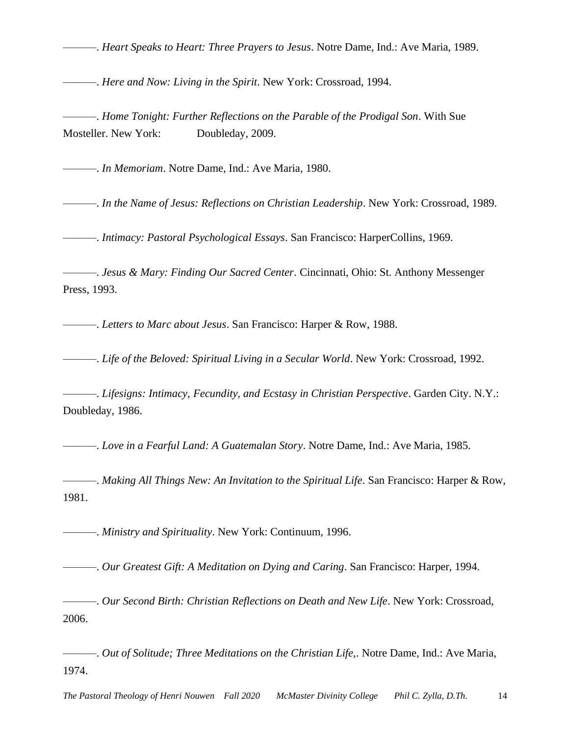———. *Heart Speaks to Heart: Three Prayers to Jesus*. Notre Dame, Ind.: Ave Maria, 1989.

———. *Here and Now: Living in the Spirit*. New York: Crossroad, 1994.

———. *Home Tonight: Further Reflections on the Parable of the Prodigal Son*. With Sue Mosteller. New York: Doubleday, 2009.

———. *In Memoriam*. Notre Dame, Ind.: Ave Maria, 1980.

———. *In the Name of Jesus: Reflections on Christian Leadership*. New York: Crossroad, 1989.

———. *Intimacy: Pastoral Psychological Essays*. San Francisco: HarperCollins, 1969.

———. *Jesus & Mary: Finding Our Sacred Center*. Cincinnati, Ohio: St. Anthony Messenger Press, 1993.

———. *Letters to Marc about Jesus*. San Francisco: Harper & Row, 1988.

———. *Life of the Beloved: Spiritual Living in a Secular World*. New York: Crossroad, 1992.

———. *Lifesigns: Intimacy, Fecundity, and Ecstasy in Christian Perspective*. Garden City. N.Y.: Doubleday, 1986.

———. *Love in a Fearful Land: A Guatemalan Story*. Notre Dame, Ind.: Ave Maria, 1985.

———. *Making All Things New: An Invitation to the Spiritual Life*. San Francisco: Harper & Row, 1981.

———. *Ministry and Spirituality*. New York: Continuum, 1996.

———. *Our Greatest Gift: A Meditation on Dying and Caring*. San Francisco: Harper, 1994.

———. *Our Second Birth: Christian Reflections on Death and New Life*. New York: Crossroad, 2006.

———. *Out of Solitude; Three Meditations on the Christian Life,*. Notre Dame, Ind.: Ave Maria, 1974.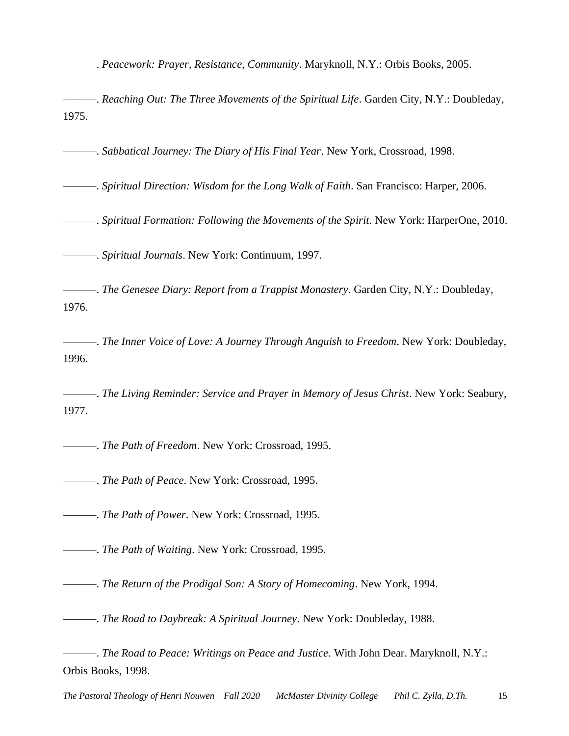———. *Peacework: Prayer, Resistance, Community*. Maryknoll, N.Y.: Orbis Books, 2005.

———. *Reaching Out: The Three Movements of the Spiritual Life*. Garden City, N.Y.: Doubleday, 1975.

———. *Sabbatical Journey: The Diary of His Final Year*. New York, Crossroad, 1998.

———. *Spiritual Direction: Wisdom for the Long Walk of Faith*. San Francisco: Harper, 2006.

———. *Spiritual Formation: Following the Movements of the Spirit*. New York: HarperOne, 2010.

———. *Spiritual Journals*. New York: Continuum, 1997.

———. *The Genesee Diary: Report from a Trappist Monastery*. Garden City, N.Y.: Doubleday, 1976.

———. *The Inner Voice of Love: A Journey Through Anguish to Freedom*. New York: Doubleday, 1996.

———. *The Living Reminder: Service and Prayer in Memory of Jesus Christ*. New York: Seabury, 1977.

———. *The Path of Freedom*. New York: Crossroad, 1995.

———. *The Path of Peace*. New York: Crossroad, 1995.

———. *The Path of Power*. New York: Crossroad, 1995.

———. *The Path of Waiting*. New York: Crossroad, 1995.

———. *The Return of the Prodigal Son: A Story of Homecoming*. New York, 1994.

———. *The Road to Daybreak: A Spiritual Journey*. New York: Doubleday, 1988.

———. *The Road to Peace: Writings on Peace and Justice*. With John Dear. Maryknoll, N.Y.: Orbis Books, 1998.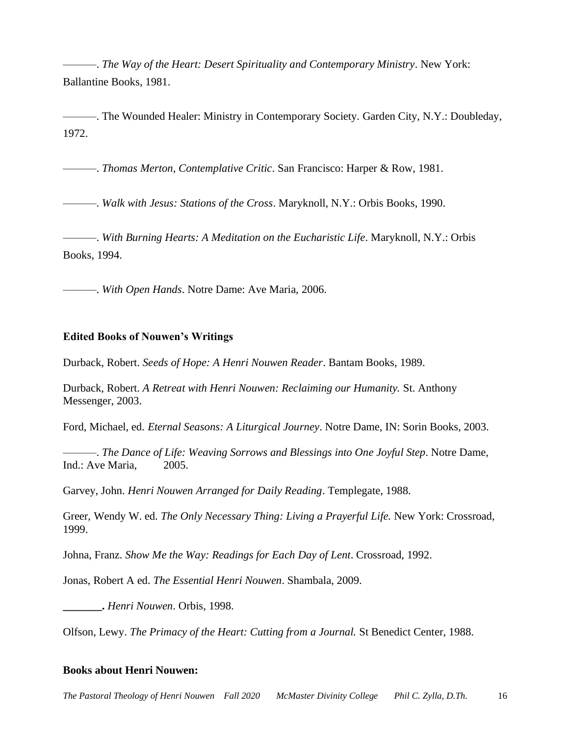———. *The Way of the Heart: Desert Spirituality and Contemporary Ministry*. New York: Ballantine Books, 1981.

——. The Wounded Healer: Ministry in Contemporary Society. Garden City, N.Y.: Doubleday, 1972.

———. *Thomas Merton, Contemplative Critic*. San Francisco: Harper & Row, 1981.

———. *Walk with Jesus: Stations of the Cross*. Maryknoll, N.Y.: Orbis Books, 1990.

———. *With Burning Hearts: A Meditation on the Eucharistic Life*. Maryknoll, N.Y.: Orbis Books, 1994.

———. *With Open Hands*. Notre Dame: Ave Maria, 2006.

#### **Edited Books of Nouwen's Writings**

Durback, Robert. *Seeds of Hope: A Henri Nouwen Reader*. Bantam Books, 1989.

Durback, Robert. *A Retreat with Henri Nouwen: Reclaiming our Humanity.* St. Anthony Messenger, 2003.

Ford, Michael, ed. *Eternal Seasons: A Liturgical Journey*. Notre Dame, IN: Sorin Books, 2003.

———. *The Dance of Life: Weaving Sorrows and Blessings into One Joyful Step*. Notre Dame, Ind.: Ave Maria, 2005.

Garvey, John. *Henri Nouwen Arranged for Daily Reading*. Templegate, 1988.

Greer, Wendy W. ed. *The Only Necessary Thing: Living a Prayerful Life.* New York: Crossroad, 1999.

Johna, Franz. *Show Me the Way: Readings for Each Day of Lent*. Crossroad, 1992.

Jonas, Robert A ed. *The Essential Henri Nouwen*. Shambala, 2009.

**\_\_\_\_\_\_\_.** *Henri Nouwen*. Orbis, 1998.

Olfson, Lewy. *The Primacy of the Heart: Cutting from a Journal.* St Benedict Center, 1988.

#### **Books about Henri Nouwen:**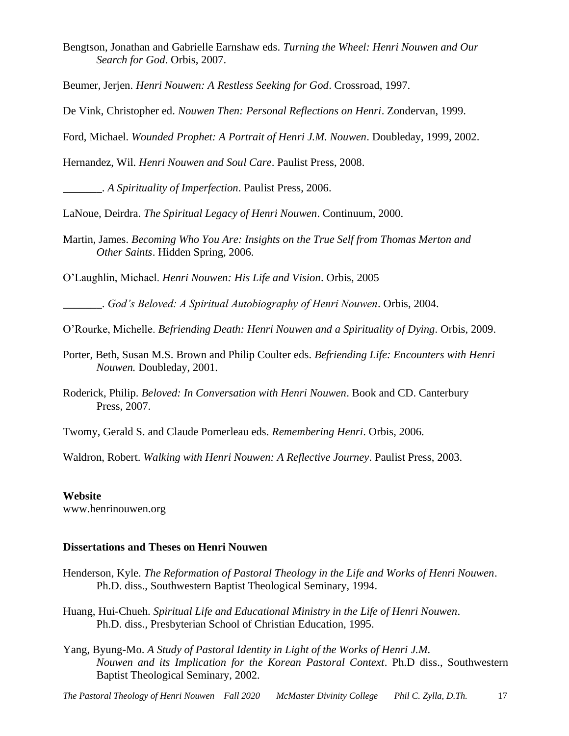Bengtson, Jonathan and Gabrielle Earnshaw eds. *Turning the Wheel: Henri Nouwen and Our Search for God*. Orbis, 2007.

Beumer, Jerjen. *Henri Nouwen: A Restless Seeking for God*. Crossroad, 1997.

De Vink, Christopher ed. *Nouwen Then: Personal Reflections on Henri*. Zondervan, 1999.

Ford, Michael. *Wounded Prophet: A Portrait of Henri J.M. Nouwen*. Doubleday, 1999, 2002.

Hernandez, Wil. *Henri Nouwen and Soul Care*. Paulist Press, 2008.

\_\_\_\_\_\_\_. *A Spirituality of Imperfection*. Paulist Press, 2006.

LaNoue, Deirdra. *The Spiritual Legacy of Henri Nouwen*. Continuum, 2000.

Martin, James. *Becoming Who You Are: Insights on the True Self from Thomas Merton and Other Saints*. Hidden Spring, 2006.

O'Laughlin, Michael. *Henri Nouwen: His Life and Vision*. Orbis, 2005

\_\_\_\_\_\_\_. *God's Beloved: A Spiritual Autobiography of Henri Nouwen*. Orbis, 2004.

O'Rourke, Michelle. *Befriending Death: Henri Nouwen and a Spirituality of Dying*. Orbis, 2009.

- Porter, Beth, Susan M.S. Brown and Philip Coulter eds. *Befriending Life: Encounters with Henri Nouwen.* Doubleday, 2001.
- Roderick, Philip. *Beloved: In Conversation with Henri Nouwen*. Book and CD. Canterbury Press, 2007.
- Twomy, Gerald S. and Claude Pomerleau eds. *Remembering Henri*. Orbis, 2006.

Waldron, Robert. *Walking with Henri Nouwen: A Reflective Journey*. Paulist Press, 2003.

#### **Website**

www.henrinouwen.org

### **Dissertations and Theses on Henri Nouwen**

- Henderson, Kyle. *The Reformation of Pastoral Theology in the Life and Works of Henri Nouwen*. Ph.D. diss., Southwestern Baptist Theological Seminary, 1994.
- Huang, Hui-Chueh. *Spiritual Life and Educational Ministry in the Life of Henri Nouwen*. Ph.D. diss., Presbyterian School of Christian Education, 1995.
- Yang, Byung-Mo. *A Study of Pastoral Identity in Light of the Works of Henri J.M. Nouwen and its Implication for the Korean Pastoral Context*. Ph.D diss., Southwestern Baptist Theological Seminary, 2002.